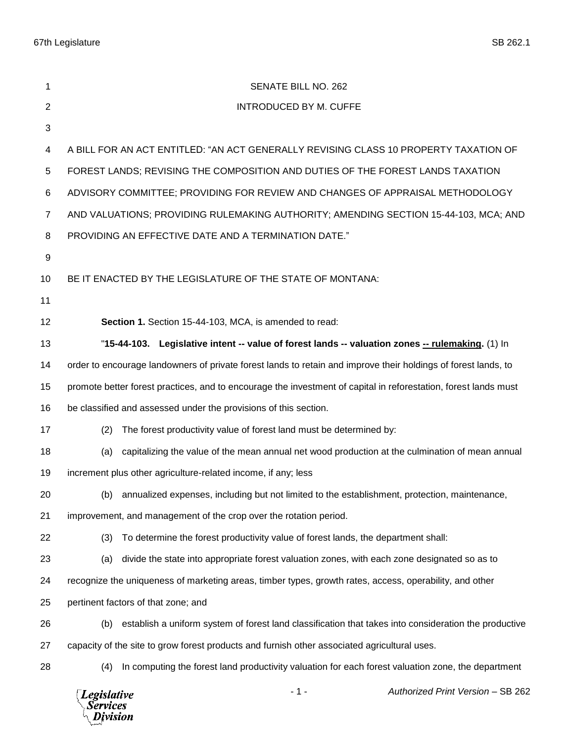67th Legislature SB 262.1

| 1              | SENATE BILL NO. 262                                                                                             |                                   |
|----------------|-----------------------------------------------------------------------------------------------------------------|-----------------------------------|
| $\overline{2}$ | <b>INTRODUCED BY M. CUFFE</b>                                                                                   |                                   |
| 3              |                                                                                                                 |                                   |
| 4              | A BILL FOR AN ACT ENTITLED: "AN ACT GENERALLY REVISING CLASS 10 PROPERTY TAXATION OF                            |                                   |
| 5              | FOREST LANDS; REVISING THE COMPOSITION AND DUTIES OF THE FOREST LANDS TAXATION                                  |                                   |
| 6              | ADVISORY COMMITTEE; PROVIDING FOR REVIEW AND CHANGES OF APPRAISAL METHODOLOGY                                   |                                   |
| $\overline{7}$ | AND VALUATIONS; PROVIDING RULEMAKING AUTHORITY; AMENDING SECTION 15-44-103, MCA; AND                            |                                   |
| 8              | PROVIDING AN EFFECTIVE DATE AND A TERMINATION DATE."                                                            |                                   |
| 9              |                                                                                                                 |                                   |
| 10             | BE IT ENACTED BY THE LEGISLATURE OF THE STATE OF MONTANA:                                                       |                                   |
| 11             |                                                                                                                 |                                   |
| 12             | Section 1. Section 15-44-103, MCA, is amended to read:                                                          |                                   |
| 13             | "15-44-103. Legislative intent -- value of forest lands -- valuation zones -- rulemaking. (1) In                |                                   |
| 14             | order to encourage landowners of private forest lands to retain and improve their holdings of forest lands, to  |                                   |
| 15             | promote better forest practices, and to encourage the investment of capital in reforestation, forest lands must |                                   |
| 16             | be classified and assessed under the provisions of this section.                                                |                                   |
| 17             | The forest productivity value of forest land must be determined by:<br>(2)                                      |                                   |
| 18             | capitalizing the value of the mean annual net wood production at the culmination of mean annual<br>(a)          |                                   |
| 19             | increment plus other agriculture-related income, if any; less                                                   |                                   |
| 20             | (b) annualized expenses, including but not limited to the establishment, protection, maintenance,               |                                   |
| 21             | improvement, and management of the crop over the rotation period.                                               |                                   |
| 22             | To determine the forest productivity value of forest lands, the department shall:<br>(3)                        |                                   |
| 23             | divide the state into appropriate forest valuation zones, with each zone designated so as to<br>(a)             |                                   |
| 24             | recognize the uniqueness of marketing areas, timber types, growth rates, access, operability, and other         |                                   |
| 25             | pertinent factors of that zone; and                                                                             |                                   |
| 26             | establish a uniform system of forest land classification that takes into consideration the productive<br>(b)    |                                   |
| 27             | capacity of the site to grow forest products and furnish other associated agricultural uses.                    |                                   |
| 28             | In computing the forest land productivity valuation for each forest valuation zone, the department<br>(4)       |                                   |
|                | $-1-$<br><b>Legislative</b><br>Services<br>Division                                                             | Authorized Print Version - SB 262 |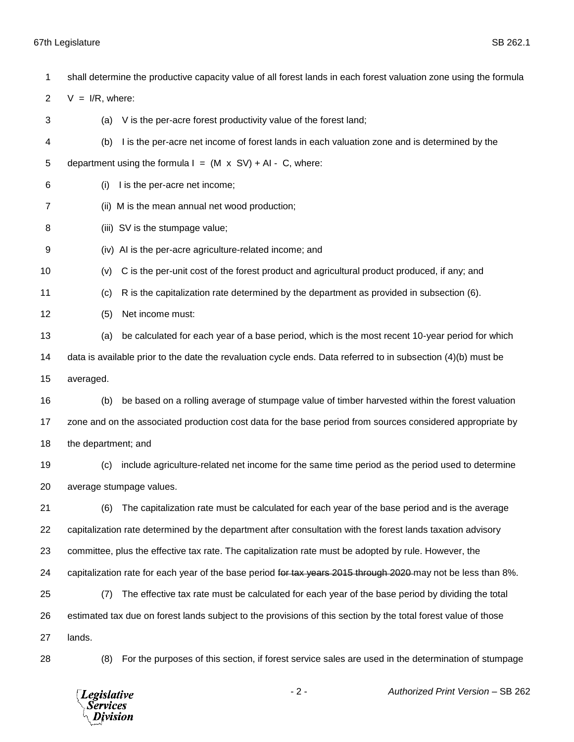| 1              | shall determine the productive capacity value of all forest lands in each forest valuation zone using the formula |
|----------------|-------------------------------------------------------------------------------------------------------------------|
| $\overline{2}$ | $V = I/R$ , where:                                                                                                |
| 3              | V is the per-acre forest productivity value of the forest land;<br>(a)                                            |
| 4              | I is the per-acre net income of forest lands in each valuation zone and is determined by the<br>(b)               |
| 5              | department using the formula $I = (M \times SV) + AI - C$ , where:                                                |
| 6              | I is the per-acre net income;<br>(i)                                                                              |
| 7              | (ii) M is the mean annual net wood production;                                                                    |
| 8              | (iii) SV is the stumpage value;                                                                                   |
| 9              | (iv) AI is the per-acre agriculture-related income; and                                                           |
| 10             | C is the per-unit cost of the forest product and agricultural product produced, if any; and<br>(v)                |
| 11             | R is the capitalization rate determined by the department as provided in subsection (6).<br>(c)                   |
| 12             | (5)<br>Net income must:                                                                                           |
| 13             | be calculated for each year of a base period, which is the most recent 10-year period for which<br>(a)            |
| 14             | data is available prior to the date the revaluation cycle ends. Data referred to in subsection (4)(b) must be     |
| 15             | averaged.                                                                                                         |
| 16             | be based on a rolling average of stumpage value of timber harvested within the forest valuation<br>(b)            |
| 17             | zone and on the associated production cost data for the base period from sources considered appropriate by        |
| 18             | the department; and                                                                                               |
| 19             | include agriculture-related net income for the same time period as the period used to determine<br>(c)            |
| 20             | average stumpage values.                                                                                          |
| 21             | The capitalization rate must be calculated for each year of the base period and is the average<br>(6)             |
| 22             | capitalization rate determined by the department after consultation with the forest lands taxation advisory       |
| 23             | committee, plus the effective tax rate. The capitalization rate must be adopted by rule. However, the             |
| 24             | capitalization rate for each year of the base period for tax years 2015 through 2020 may not be less than 8%.     |
| 25             | (7)<br>The effective tax rate must be calculated for each year of the base period by dividing the total           |
| 26             | estimated tax due on forest lands subject to the provisions of this section by the total forest value of those    |
| 27             | lands.                                                                                                            |
| 28             | (8)<br>For the purposes of this section, if forest service sales are used in the determination of stumpage        |

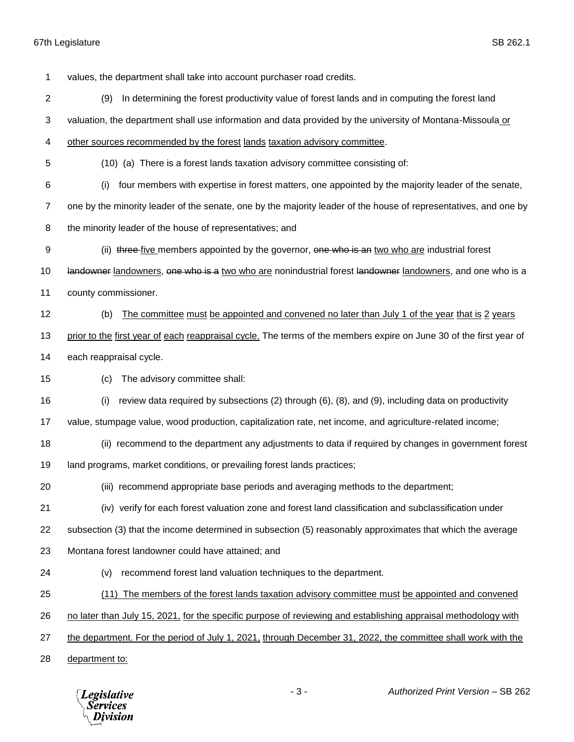values, the department shall take into account purchaser road credits. (9) In determining the forest productivity value of forest lands and in computing the forest land valuation, the department shall use information and data provided by the university of Montana-Missoula or other sources recommended by the forest lands taxation advisory committee. (10) (a) There is a forest lands taxation advisory committee consisting of: (i) four members with expertise in forest matters, one appointed by the majority leader of the senate, one by the minority leader of the senate, one by the majority leader of the house of representatives, and one by the minority leader of the house of representatives; and 9 (ii) three five members appointed by the governor, one who is an two who are industrial forest 10 landowner landowners, one who is a two who are nonindustrial forest landowner landowners, and one who is a county commissioner. (b) The committee must be appointed and convened no later than July 1 of the year that is 2 years prior to the first year of each reappraisal cycle. The terms of the members expire on June 30 of the first year of each reappraisal cycle. (c) The advisory committee shall: (i) review data required by subsections (2) through (6), (8), and (9), including data on productivity value, stumpage value, wood production, capitalization rate, net income, and agriculture-related income; (ii) recommend to the department any adjustments to data if required by changes in government forest land programs, market conditions, or prevailing forest lands practices; (iii) recommend appropriate base periods and averaging methods to the department; (iv) verify for each forest valuation zone and forest land classification and subclassification under subsection (3) that the income determined in subsection (5) reasonably approximates that which the average Montana forest landowner could have attained; and (v) recommend forest land valuation techniques to the department. (11) The members of the forest lands taxation advisory committee must be appointed and convened no later than July 15, 2021, for the specific purpose of reviewing and establishing appraisal methodology with the department. For the period of July 1, 2021, through December 31, 2022, the committee shall work with the department to: